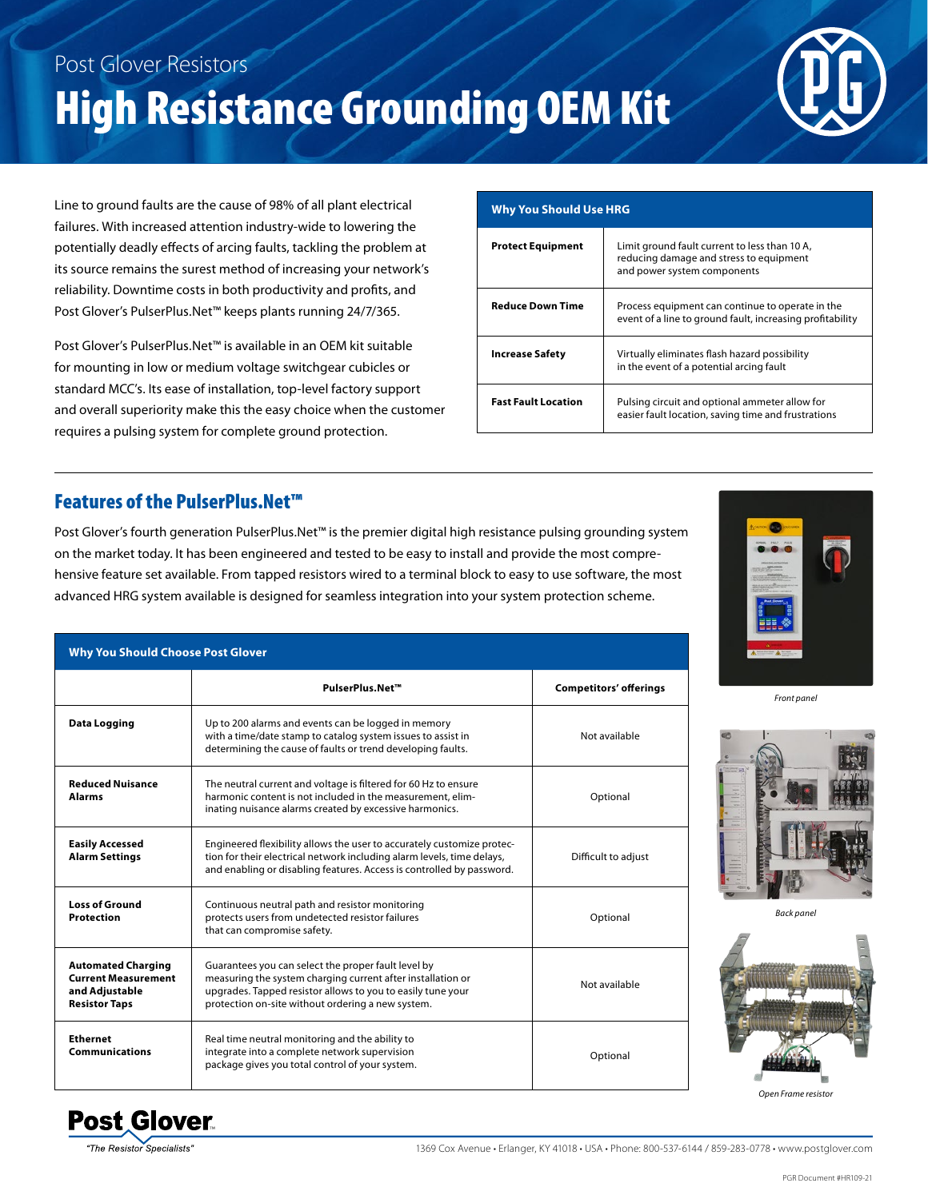## Post Glover Resistors High Resistance Grounding OEM Kit

Line to ground faults are the cause of 98% of all plant electrical failures. With increased attention industry-wide to lowering the potentially deadly effects of arcing faults, tackling the problem at its source remains the surest method of increasing your network's reliability. Downtime costs in both productivity and profits, and Post Glover's PulserPlus.Net™ keeps plants running 24/7/365.

Post Glover's PulserPlus.Net™ is available in an OEM kit suitable for mounting in low or medium voltage switchgear cubicles or standard MCC's. Its ease of installation, top-level factory support and overall superiority make this the easy choice when the customer requires a pulsing system for complete ground protection.

## **Why You Should Use HRG Protect Equipment** | Limit ground fault current to less than 10 A,

|                            | reducing damage and stress to equipment<br>and power system components                                        |
|----------------------------|---------------------------------------------------------------------------------------------------------------|
| <b>Reduce Down Time</b>    | Process equipment can continue to operate in the<br>event of a line to ground fault, increasing profitability |
| <b>Increase Safety</b>     | Virtually eliminates flash hazard possibility<br>in the event of a potential arcing fault                     |
| <b>Fast Fault Location</b> | Pulsing circuit and optional ammeter allow for<br>easier fault location, saving time and frustrations         |

## Features of the PulserPlus.Net™

Post Glover's fourth generation PulserPlus.Net™ is the premier digital high resistance pulsing grounding system on the market today. It has been engineered and tested to be easy to install and provide the most comprehensive feature set available. From tapped resistors wired to a terminal block to easy to use software, the most advanced HRG system available is designed for seamless integration into your system protection scheme.

| <b>Why You Should Choose Post Glover</b>                                                          |                                                                                                                                                                                                                                        |                               |  |  |  |  |
|---------------------------------------------------------------------------------------------------|----------------------------------------------------------------------------------------------------------------------------------------------------------------------------------------------------------------------------------------|-------------------------------|--|--|--|--|
|                                                                                                   | PulserPlus.Net™                                                                                                                                                                                                                        | <b>Competitors' offerings</b> |  |  |  |  |
| <b>Data Logging</b>                                                                               | Up to 200 alarms and events can be logged in memory<br>with a time/date stamp to catalog system issues to assist in<br>determining the cause of faults or trend developing faults.                                                     | Not available                 |  |  |  |  |
| <b>Reduced Nuisance</b><br>Alarms                                                                 | The neutral current and voltage is filtered for 60 Hz to ensure<br>harmonic content is not included in the measurement, elim-<br>inating nuisance alarms created by excessive harmonics.                                               | Optional                      |  |  |  |  |
| <b>Easily Accessed</b><br><b>Alarm Settings</b>                                                   | Engineered flexibility allows the user to accurately customize protec-<br>tion for their electrical network including alarm levels, time delays,<br>and enabling or disabling features. Access is controlled by password.              | Difficult to adjust           |  |  |  |  |
| <b>Loss of Ground</b><br><b>Protection</b>                                                        | Continuous neutral path and resistor monitoring<br>protects users from undetected resistor failures<br>that can compromise safety.                                                                                                     | Optional                      |  |  |  |  |
| <b>Automated Charging</b><br><b>Current Measurement</b><br>and Adjustable<br><b>Resistor Taps</b> | Guarantees you can select the proper fault level by<br>measuring the system charging current after installation or<br>upgrades. Tapped resistor allows to you to easily tune your<br>protection on-site without ordering a new system. | Not available                 |  |  |  |  |
| <b>Ethernet</b><br><b>Communications</b>                                                          | Real time neutral monitoring and the ability to<br>integrate into a complete network supervision<br>package gives you total control of your system.                                                                                    | Optional                      |  |  |  |  |



*Front panel*



*Back panel*



*Open Frame resistor*



1369 Cox Avenue • Erlanger, KY 41018 • USA • Phone: 800-537-6144 / 859-283-0778 • www.postglover.com